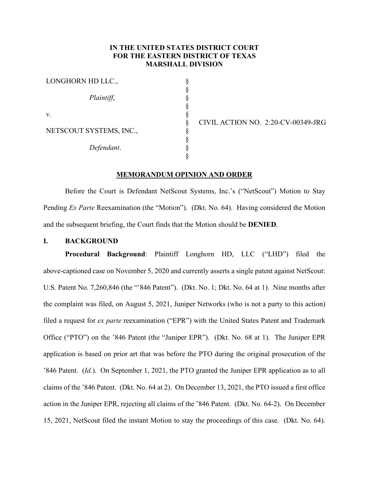# **IN THE UNITED STATES DISTRICT COURT FOR THE EASTERN DISTRICT OF TEXAS MARSHALL DIVISION**

§ § § § § § § § § §

| LONGHORN HD LLC.,       |  |
|-------------------------|--|
| Plaintiff,              |  |
| V.                      |  |
| NETSCOUT SYSTEMS, INC., |  |
| Defendant.              |  |

CIVIL ACTION NO. 2:20-CV-00349-JRG

# **MEMORANDUM OPINION AND ORDER**

Before the Court is Defendant NetScout Systems, Inc.'s ("NetScout") Motion to Stay Pending *Ex Parte* Reexamination (the "Motion"). (Dkt. No. 64). Having considered the Motion and the subsequent briefing, the Court finds that the Motion should be **DENIED**.

### **I. BACKGROUND**

**Procedural Background**: Plaintiff Longhorn HD, LLC ("LHD") filed the above-captioned case on November 5, 2020 and currently asserts a single patent against NetScout: U.S. Patent No. 7,260,846 (the "'846 Patent"). (Dkt. No. 1; Dkt. No. 64 at 1). Nine months after the complaint was filed, on August 5, 2021, Juniper Networks (who is not a party to this action) filed a request for *ex parte* reexamination ("EPR") with the United States Patent and Trademark Office ("PTO") on the '846 Patent (the "Juniper EPR"). (Dkt. No. 68 at 1). The Juniper EPR application is based on prior art that was before the PTO during the original prosecution of the '846 Patent. (*Id.*). On September 1, 2021, the PTO granted the Juniper EPR application as to all claims of the '846 Patent. (Dkt. No. 64 at 2). On December 13, 2021, the PTO issued a first office action in the Juniper EPR, rejecting all claims of the '846 Patent. (Dkt. No. 64-2). On December 15, 2021, NetScout filed the instant Motion to stay the proceedings of this case. (Dkt. No. 64).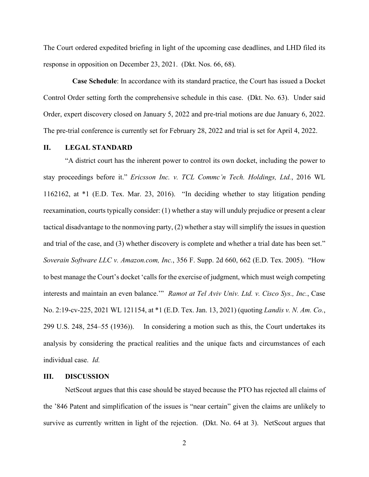The Court ordered expedited briefing in light of the upcoming case deadlines, and LHD filed its response in opposition on December 23, 2021. (Dkt. Nos. 66, 68).

 **Case Schedule**: In accordance with its standard practice, the Court has issued a Docket Control Order setting forth the comprehensive schedule in this case. (Dkt. No. 63). Under said Order, expert discovery closed on January 5, 2022 and pre-trial motions are due January 6, 2022. The pre-trial conference is currently set for February 28, 2022 and trial is set for April 4, 2022.

# **II. LEGAL STANDARD**

"A district court has the inherent power to control its own docket, including the power to stay proceedings before it." *Ericsson Inc. v. TCL Commc'n Tech. Holdings, Ltd.*, 2016 WL 1162162, at \*1 (E.D. Tex. Mar. 23, 2016). "In deciding whether to stay litigation pending reexamination, courts typically consider: (1) whether a stay will unduly prejudice or present a clear tactical disadvantage to the nonmoving party, (2) whether a stay will simplify the issues in question and trial of the case, and (3) whether discovery is complete and whether a trial date has been set." *Soverain Software LLC v. Amazon.com, Inc.*, 356 F. Supp. 2d 660, 662 (E.D. Tex. 2005). "How to best manage the Court's docket 'calls for the exercise of judgment, which must weigh competing interests and maintain an even balance.'" *Ramot at Tel Aviv Univ. Ltd. v. Cisco Sys., Inc.*, Case No. 2:19-cv-225, 2021 WL 121154, at \*1 (E.D. Tex. Jan. 13, 2021) (quoting *Landis v. N. Am. Co.*, 299 U.S. 248, 254–55 (1936)). In considering a motion such as this, the Court undertakes its analysis by considering the practical realities and the unique facts and circumstances of each individual case. *Id.*

#### **III. DISCUSSION**

NetScout argues that this case should be stayed because the PTO has rejected all claims of the '846 Patent and simplification of the issues is "near certain" given the claims are unlikely to survive as currently written in light of the rejection. (Dkt. No. 64 at 3). NetScout argues that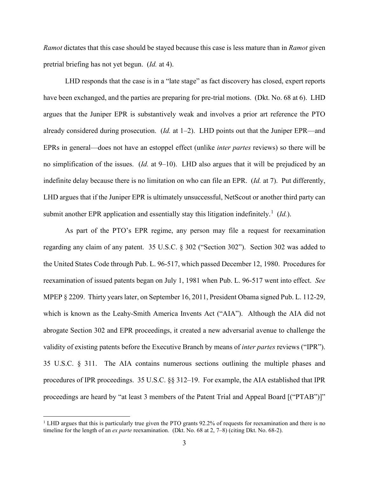*Ramot* dictates that this case should be stayed because this case is less mature than in *Ramot* given pretrial briefing has not yet begun. (*Id.* at 4).

LHD responds that the case is in a "late stage" as fact discovery has closed, expert reports have been exchanged, and the parties are preparing for pre-trial motions. (Dkt. No. 68 at 6). LHD argues that the Juniper EPR is substantively weak and involves a prior art reference the PTO already considered during prosecution. (*Id.* at 1–2). LHD points out that the Juniper EPR—and EPRs in general—does not have an estoppel effect (unlike *inter partes* reviews) so there will be no simplification of the issues. (*Id.* at 9–10). LHD also argues that it will be prejudiced by an indefinite delay because there is no limitation on who can file an EPR. (*Id.* at 7). Put differently, LHD argues that if the Juniper EPR is ultimately unsuccessful, NetScout or another third party can submit another EPR application and essentially stay this litigation indefinitely.<sup>1</sup> (Id.).

As part of the PTO's EPR regime, any person may file a request for reexamination regarding any claim of any patent. 35 U.S.C. § 302 ("Section 302"). Section 302 was added to the United States Code through Pub. L. 96-517, which passed December 12, 1980. Procedures for reexamination of issued patents began on July 1, 1981 when Pub. L. 96-517 went into effect. *See*  MPEP § 2209. Thirty years later, on September 16, 2011, President Obama signed Pub. L. 112-29, which is known as the Leahy-Smith America Invents Act ("AIA"). Although the AIA did not abrogate Section 302 and EPR proceedings, it created a new adversarial avenue to challenge the validity of existing patents before the Executive Branch by means of *inter partes* reviews ("IPR"). 35 U.S.C. § 311. The AIA contains numerous sections outlining the multiple phases and procedures of IPR proceedings. 35 U.S.C. §§ 312–19. For example, the AIA established that IPR proceedings are heard by "at least 3 members of the Patent Trial and Appeal Board [("PTAB")]"

<sup>&</sup>lt;sup>1</sup> LHD argues that this is particularly true given the PTO grants 92.2% of requests for reexamination and there is no timeline for the length of an *ex parte* reexamination. (Dkt. No. 68 at 2, 7–8) (citing Dkt. No. 68-2).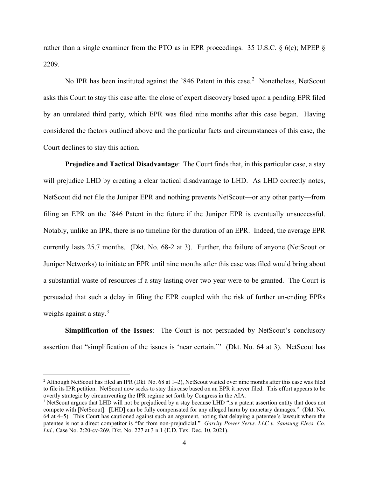rather than a single examiner from the PTO as in EPR proceedings. 35 U.S.C. § 6(c); MPEP § 2209.

No IPR has been instituted against the '846 Patent in this case.<sup>2</sup> Nonetheless, NetScout asks this Court to stay this case after the close of expert discovery based upon a pending EPR filed by an unrelated third party, which EPR was filed nine months after this case began. Having considered the factors outlined above and the particular facts and circumstances of this case, the Court declines to stay this action.

**Prejudice and Tactical Disadvantage**: The Court finds that, in this particular case, a stay will prejudice LHD by creating a clear tactical disadvantage to LHD. As LHD correctly notes, NetScout did not file the Juniper EPR and nothing prevents NetScout—or any other party—from filing an EPR on the '846 Patent in the future if the Juniper EPR is eventually unsuccessful. Notably, unlike an IPR, there is no timeline for the duration of an EPR. Indeed, the average EPR currently lasts 25.7 months. (Dkt. No. 68-2 at 3). Further, the failure of anyone (NetScout or Juniper Networks) to initiate an EPR until nine months after this case was filed would bring about a substantial waste of resources if a stay lasting over two year were to be granted. The Court is persuaded that such a delay in filing the EPR coupled with the risk of further un-ending EPRs weighs against a stay.<sup>3</sup>

**Simplification of the Issues**: The Court is not persuaded by NetScout's conclusory assertion that "simplification of the issues is 'near certain.'" (Dkt. No. 64 at 3). NetScout has

<sup>&</sup>lt;sup>2</sup> Although NetScout has filed an IPR (Dkt. No. 68 at  $1-2$ ), NetScout waited over nine months after this case was filed to file its IPR petition. NetScout now seeks to stay this case based on an EPR it never filed. This effort appears to be overtly strategic by circumventing the IPR regime set forth by Congress in the AIA.

<sup>&</sup>lt;sup>3</sup> NetScout argues that LHD will not be prejudiced by a stay because LHD "is a patent assertion entity that does not compete with [NetScout]. [LHD] can be fully compensated for any alleged harm by monetary damages." (Dkt. No. 64 at 4–5). This Court has cautioned against such an argument, noting that delaying a patentee's lawsuit where the patentee is not a direct competitor is "far from non-prejudicial." *Garrity Power Servs. LLC v. Samsung Elecs. Co. Ltd.*, Case No. 2:20-cv-269, Dkt. No. 227 at 3 n.1 (E.D. Tex. Dec. 10, 2021).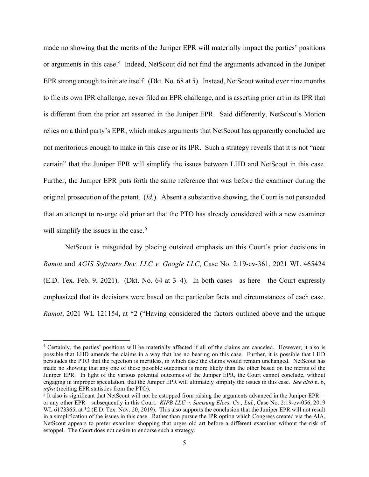made no showing that the merits of the Juniper EPR will materially impact the parties' positions or arguments in this case.<sup>4</sup> Indeed, NetScout did not find the arguments advanced in the Juniper EPR strong enough to initiate itself. (Dkt. No. 68 at 5). Instead, NetScout waited over nine months to file its own IPR challenge, never filed an EPR challenge, and is asserting prior art in its IPR that is different from the prior art asserted in the Juniper EPR. Said differently, NetScout's Motion relies on a third party's EPR, which makes arguments that NetScout has apparently concluded are not meritorious enough to make in this case or its IPR. Such a strategy reveals that it is not "near certain" that the Juniper EPR will simplify the issues between LHD and NetScout in this case. Further, the Juniper EPR puts forth the same reference that was before the examiner during the original prosecution of the patent. (*Id.*). Absent a substantive showing, the Court is not persuaded that an attempt to re-urge old prior art that the PTO has already considered with a new examiner will simplify the issues in the case. $5$ 

NetScout is misguided by placing outsized emphasis on this Court's prior decisions in *Ramot* and *AGIS Software Dev. LLC v. Google LLC*, Case No. 2:19-cv-361, 2021 WL 465424 (E.D. Tex. Feb. 9, 2021). (Dkt. No. 64 at 3–4). In both cases—as here—the Court expressly emphasized that its decisions were based on the particular facts and circumstances of each case. *Ramot*, 2021 WL 121154, at \*2 ("Having considered the factors outlined above and the unique

<sup>4</sup> Certainly, the parties' positions will be materially affected if all of the claims are canceled. However, it also is possible that LHD amends the claims in a way that has no bearing on this case. Further, it is possible that LHD persuades the PTO that the rejection is meritless, in which case the claims would remain unchanged. NetScout has made no showing that any one of these possible outcomes is more likely than the other based on the merits of the Juniper EPR. In light of the various potential outcomes of the Juniper EPR, the Court cannot conclude, without engaging in improper speculation, that the Juniper EPR will ultimately simplify the issues in this case. *See also* n. 6, *infra* (reciting EPR statistics from the PTO).

 $<sup>5</sup>$  It also is significant that NetScout will not be estopped from raising the arguments advanced in the Juniper EPR—</sup> or any other EPR—subsequently in this Court. *KIPB LLC v. Samsung Elecs. Co., Ltd.*, Case No. 2:19-cv-056, 2019 WL 6173365, at \*2 (E.D. Tex. Nov. 20, 2019). This also supports the conclusion that the Juniper EPR will not result in a simplification of the issues in this case. Rather than pursue the IPR option which Congress created via the AIA, NetScout appears to prefer examiner shopping that urges old art before a different examiner without the risk of estoppel. The Court does not desire to endorse such a strategy.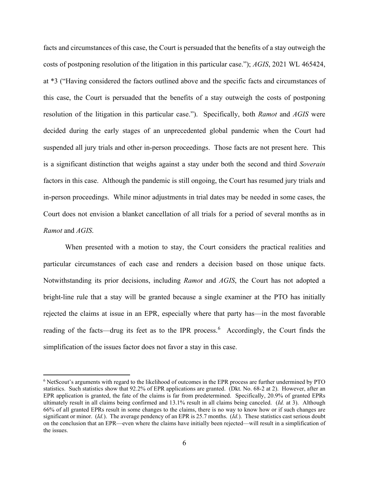facts and circumstances of this case, the Court is persuaded that the benefits of a stay outweigh the costs of postponing resolution of the litigation in this particular case."); *AGIS*, 2021 WL 465424, at \*3 ("Having considered the factors outlined above and the specific facts and circumstances of this case, the Court is persuaded that the benefits of a stay outweigh the costs of postponing resolution of the litigation in this particular case."). Specifically, both *Ramot* and *AGIS* were decided during the early stages of an unprecedented global pandemic when the Court had suspended all jury trials and other in-person proceedings. Those facts are not present here. This is a significant distinction that weighs against a stay under both the second and third *Soverain*  factors in this case. Although the pandemic is still ongoing, the Court has resumed jury trials and in-person proceedings. While minor adjustments in trial dates may be needed in some cases, the Court does not envision a blanket cancellation of all trials for a period of several months as in *Ramot* and *AGIS*.

When presented with a motion to stay, the Court considers the practical realities and particular circumstances of each case and renders a decision based on those unique facts. Notwithstanding its prior decisions, including *Ramot* and *AGIS*, the Court has not adopted a bright-line rule that a stay will be granted because a single examiner at the PTO has initially rejected the claims at issue in an EPR, especially where that party has—in the most favorable reading of the facts—drug its feet as to the IPR process.<sup>6</sup> Accordingly, the Court finds the simplification of the issues factor does not favor a stay in this case.

<sup>6</sup> NetScout's arguments with regard to the likelihood of outcomes in the EPR process are further undermined by PTO statistics. Such statistics show that 92.2% of EPR applications are granted. (Dkt. No. 68-2 at 2). However, after an EPR application is granted, the fate of the claims is far from predetermined. Specifically, 20.9% of granted EPRs ultimately result in all claims being confirmed and 13.1% result in all claims being canceled. (*Id.* at 3). Although 66% of all granted EPRs result in some changes to the claims, there is no way to know how or if such changes are significant or minor. (*Id.*). The average pendency of an EPR is 25.7 months. (*Id.*). These statistics cast serious doubt on the conclusion that an EPR—even where the claims have initially been rejected—will result in a simplification of the issues.